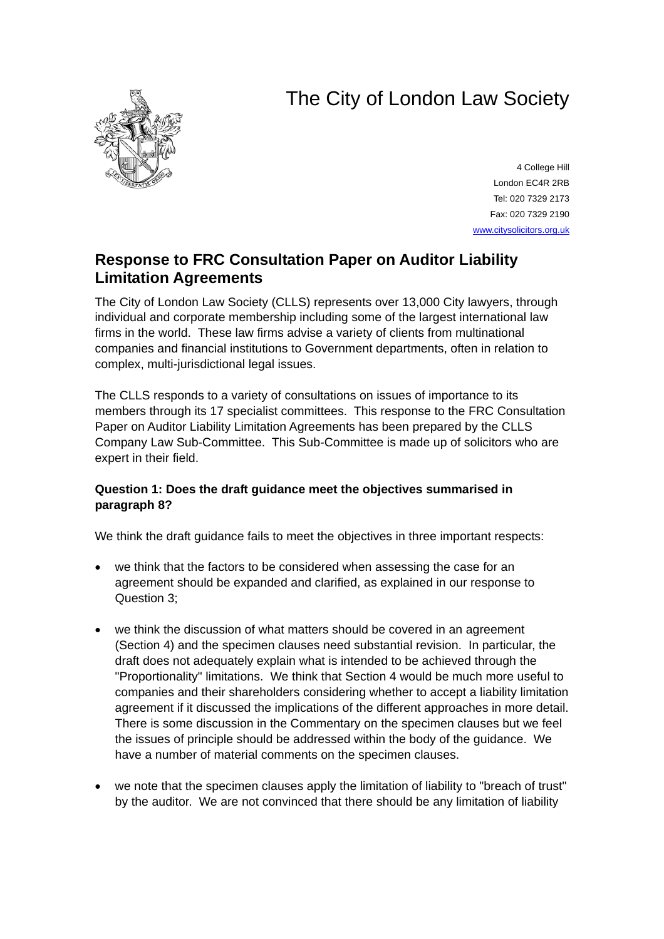# The City of London Law Society



4 College Hill London EC4R 2RB Tel: 020 7329 2173 Fax: 020 7329 2190 [www.citysolicitors.org.uk](http://www.citysolicitors.org.uk/)

# **Response to FRC Consultation Paper on Auditor Liability Limitation Agreements**

The City of London Law Society (CLLS) represents over 13,000 City lawyers, through individual and corporate membership including some of the largest international law firms in the world. These law firms advise a variety of clients from multinational companies and financial institutions to Government departments, often in relation to complex, multi-jurisdictional legal issues.

The CLLS responds to a variety of consultations on issues of importance to its members through its 17 specialist committees. This response to the FRC Consultation Paper on Auditor Liability Limitation Agreements has been prepared by the CLLS Company Law Sub-Committee. This Sub-Committee is made up of solicitors who are expert in their field.

# **Question 1: Does the draft guidance meet the objectives summarised in paragraph 8?**

We think the draft guidance fails to meet the objectives in three important respects:

- we think that the factors to be considered when assessing the case for an agreement should be expanded and clarified, as explained in our response to Question 3;
- we think the discussion of what matters should be covered in an agreement (Section 4) and the specimen clauses need substantial revision. In particular, the draft does not adequately explain what is intended to be achieved through the "Proportionality" limitations. We think that Section 4 would be much more useful to companies and their shareholders considering whether to accept a liability limitation agreement if it discussed the implications of the different approaches in more detail. There is some discussion in the Commentary on the specimen clauses but we feel the issues of principle should be addressed within the body of the guidance. We have a number of material comments on the specimen clauses.
- we note that the specimen clauses apply the limitation of liability to "breach of trust" by the auditor. We are not convinced that there should be any limitation of liability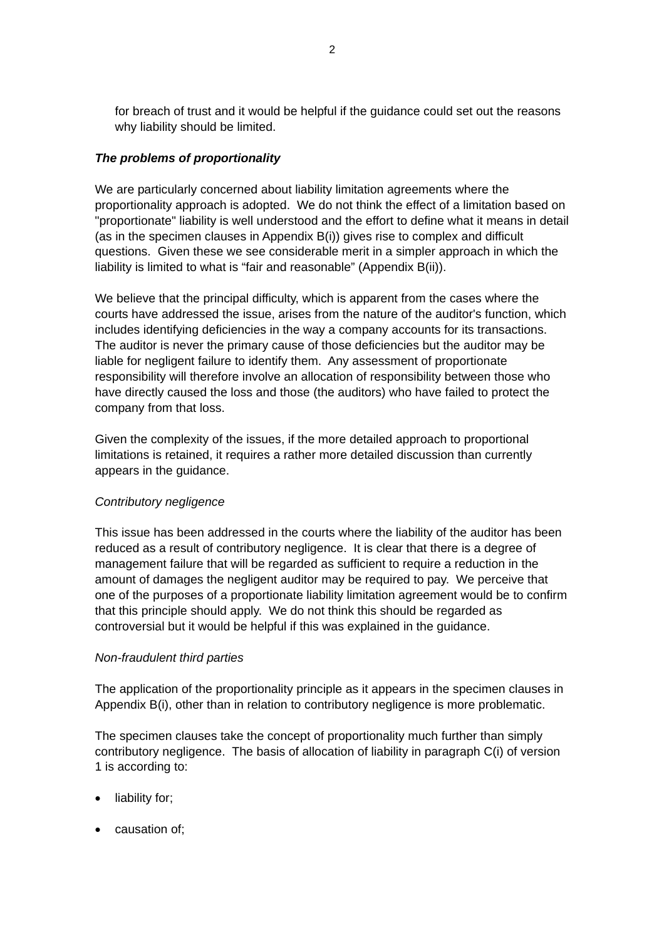for breach of trust and it would be helpful if the guidance could set out the reasons why liability should be limited.

### *The problems of proportionality*

We are particularly concerned about liability limitation agreements where the proportionality approach is adopted. We do not think the effect of a limitation based on "proportionate" liability is well understood and the effort to define what it means in detail (as in the specimen clauses in Appendix B(i)) gives rise to complex and difficult questions. Given these we see considerable merit in a simpler approach in which the liability is limited to what is "fair and reasonable" (Appendix B(ii)).

We believe that the principal difficulty, which is apparent from the cases where the courts have addressed the issue, arises from the nature of the auditor's function, which includes identifying deficiencies in the way a company accounts for its transactions. The auditor is never the primary cause of those deficiencies but the auditor may be liable for negligent failure to identify them. Any assessment of proportionate responsibility will therefore involve an allocation of responsibility between those who have directly caused the loss and those (the auditors) who have failed to protect the company from that loss.

Given the complexity of the issues, if the more detailed approach to proportional limitations is retained, it requires a rather more detailed discussion than currently appears in the guidance.

# *Contributory negligence*

This issue has been addressed in the courts where the liability of the auditor has been reduced as a result of contributory negligence. It is clear that there is a degree of management failure that will be regarded as sufficient to require a reduction in the amount of damages the negligent auditor may be required to pay. We perceive that one of the purposes of a proportionate liability limitation agreement would be to confirm that this principle should apply. We do not think this should be regarded as controversial but it would be helpful if this was explained in the guidance.

#### *Non-fraudulent third parties*

The application of the proportionality principle as it appears in the specimen clauses in Appendix B(i), other than in relation to contributory negligence is more problematic.

The specimen clauses take the concept of proportionality much further than simply contributory negligence. The basis of allocation of liability in paragraph C(i) of version 1 is according to:

- liability for;
- causation of;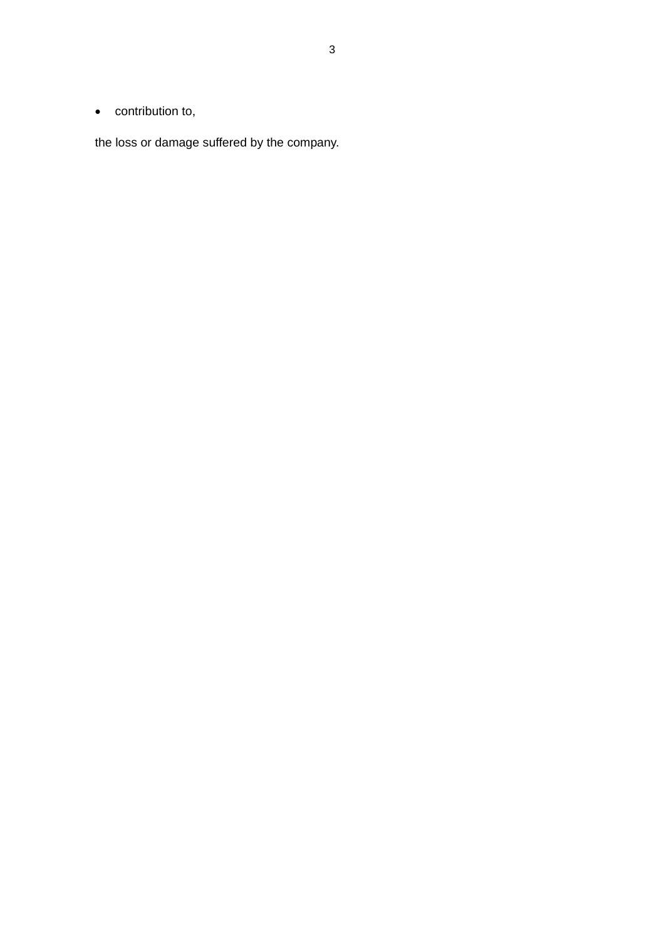• contribution to,

the loss or damage suffered by the company.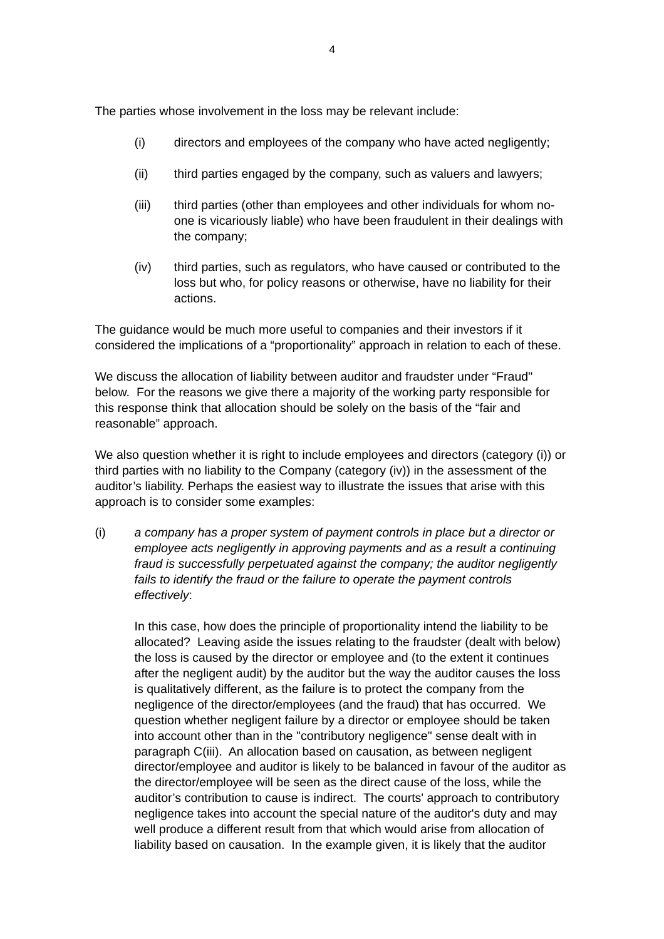The parties whose involvement in the loss may be relevant include:

- (i) directors and employees of the company who have acted negligently;
- (ii) third parties engaged by the company, such as valuers and lawyers;
- (iii) third parties (other than employees and other individuals for whom noone is vicariously liable) who have been fraudulent in their dealings with the company;
- (iv) third parties, such as regulators, who have caused or contributed to the loss but who, for policy reasons or otherwise, have no liability for their actions.

The guidance would be much more useful to companies and their investors if it considered the implications of a "proportionality" approach in relation to each of these.

We discuss the allocation of liability between auditor and fraudster under "Fraud" below. For the reasons we give there a majority of the working party responsible for this response think that allocation should be solely on the basis of the "fair and reasonable" approach.

We also question whether it is right to include employees and directors (category (i)) or third parties with no liability to the Company (category (iv)) in the assessment of the auditor's liability. Perhaps the easiest way to illustrate the issues that arise with this approach is to consider some examples:

(i) *a company has a proper system of payment controls in place but a director or employee acts negligently in approving payments and as a result a continuing fraud is successfully perpetuated against the company; the auditor negligently fails to identify the fraud or the failure to operate the payment controls effectively*:

In this case, how does the principle of proportionality intend the liability to be allocated? Leaving aside the issues relating to the fraudster (dealt with below) the loss is caused by the director or employee and (to the extent it continues after the negligent audit) by the auditor but the way the auditor causes the loss is qualitatively different, as the failure is to protect the company from the negligence of the director/employees (and the fraud) that has occurred. We question whether negligent failure by a director or employee should be taken into account other than in the "contributory negligence" sense dealt with in paragraph C(iii). An allocation based on causation, as between negligent director/employee and auditor is likely to be balanced in favour of the auditor as the director/employee will be seen as the direct cause of the loss, while the auditor's contribution to cause is indirect. The courts' approach to contributory negligence takes into account the special nature of the auditor's duty and may well produce a different result from that which would arise from allocation of liability based on causation. In the example given, it is likely that the auditor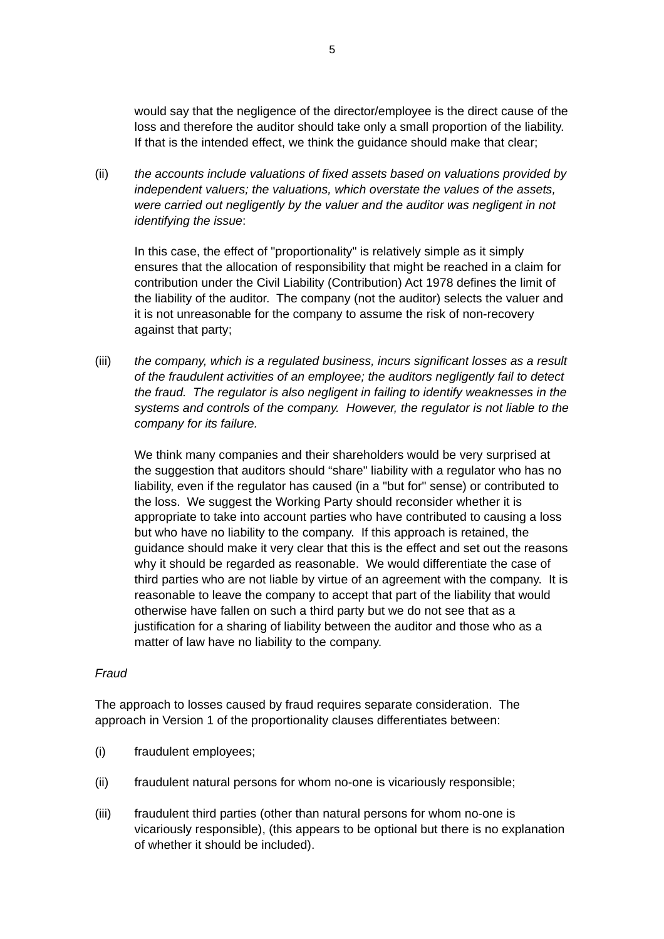would say that the negligence of the director/employee is the direct cause of the loss and therefore the auditor should take only a small proportion of the liability. If that is the intended effect, we think the guidance should make that clear;

(ii) *the accounts include valuations of fixed assets based on valuations provided by independent valuers; the valuations, which overstate the values of the assets, were carried out negligently by the valuer and the auditor was negligent in not identifying the issue*:

In this case, the effect of "proportionality" is relatively simple as it simply ensures that the allocation of responsibility that might be reached in a claim for contribution under the Civil Liability (Contribution) Act 1978 defines the limit of the liability of the auditor. The company (not the auditor) selects the valuer and it is not unreasonable for the company to assume the risk of non-recovery against that party;

(iii) *the company, which is a regulated business, incurs significant losses as a result of the fraudulent activities of an employee; the auditors negligently fail to detect the fraud. The regulator is also negligent in failing to identify weaknesses in the systems and controls of the company. However, the regulator is not liable to the company for its failure.*

We think many companies and their shareholders would be very surprised at the suggestion that auditors should "share" liability with a regulator who has no liability, even if the regulator has caused (in a "but for" sense) or contributed to the loss. We suggest the Working Party should reconsider whether it is appropriate to take into account parties who have contributed to causing a loss but who have no liability to the company. If this approach is retained, the guidance should make it very clear that this is the effect and set out the reasons why it should be regarded as reasonable. We would differentiate the case of third parties who are not liable by virtue of an agreement with the company. It is reasonable to leave the company to accept that part of the liability that would otherwise have fallen on such a third party but we do not see that as a justification for a sharing of liability between the auditor and those who as a matter of law have no liability to the company.

#### *Fraud*

The approach to losses caused by fraud requires separate consideration. The approach in Version 1 of the proportionality clauses differentiates between:

- (i) fraudulent employees;
- (ii) fraudulent natural persons for whom no-one is vicariously responsible;
- (iii) fraudulent third parties (other than natural persons for whom no-one is vicariously responsible), (this appears to be optional but there is no explanation of whether it should be included).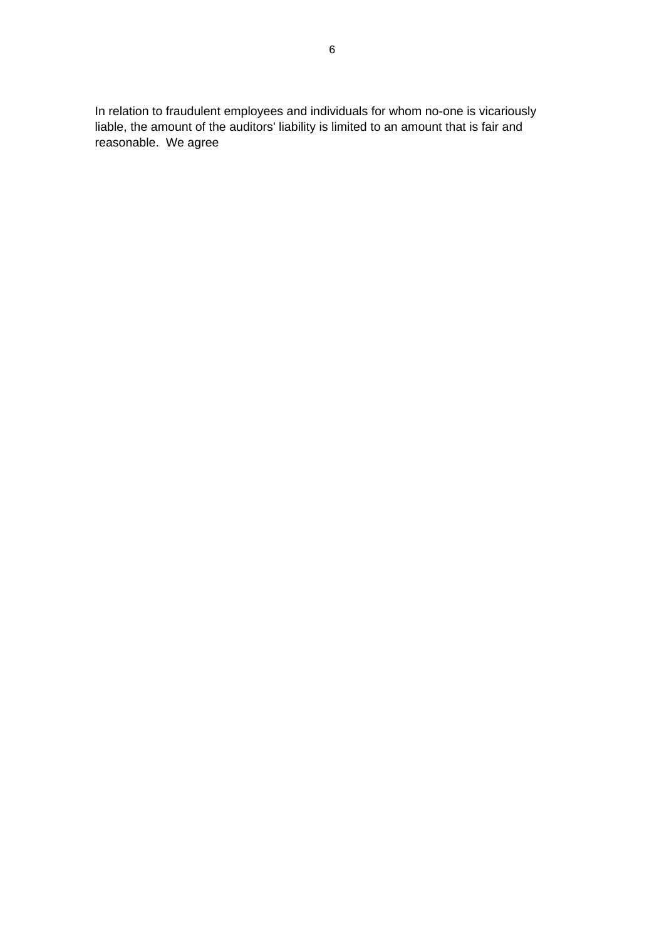In relation to fraudulent employees and individuals for whom no-one is vicariously liable, the amount of the auditors' liability is limited to an amount that is fair and reasonable. We agree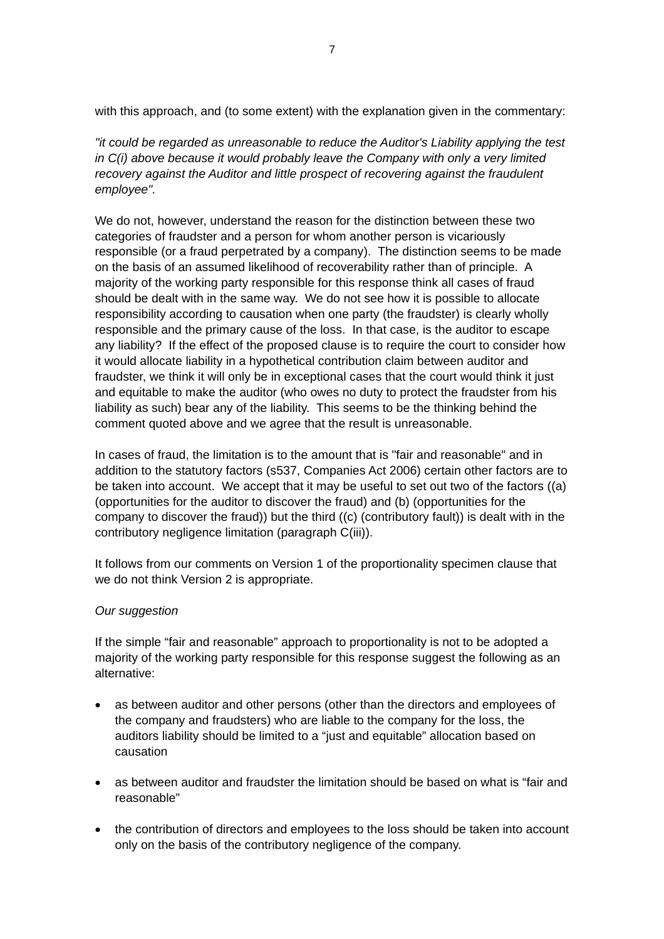with this approach, and (to some extent) with the explanation given in the commentary:

*"it could be regarded as unreasonable to reduce the Auditor's Liability applying the test in C(i) above because it would probably leave the Company with only a very limited recovery against the Auditor and little prospect of recovering against the fraudulent employee".* 

We do not, however, understand the reason for the distinction between these two categories of fraudster and a person for whom another person is vicariously responsible (or a fraud perpetrated by a company). The distinction seems to be made on the basis of an assumed likelihood of recoverability rather than of principle. A majority of the working party responsible for this response think all cases of fraud should be dealt with in the same way. We do not see how it is possible to allocate responsibility according to causation when one party (the fraudster) is clearly wholly responsible and the primary cause of the loss. In that case, is the auditor to escape any liability? If the effect of the proposed clause is to require the court to consider how it would allocate liability in a hypothetical contribution claim between auditor and fraudster, we think it will only be in exceptional cases that the court would think it just and equitable to make the auditor (who owes no duty to protect the fraudster from his liability as such) bear any of the liability. This seems to be the thinking behind the comment quoted above and we agree that the result is unreasonable.

In cases of fraud, the limitation is to the amount that is "fair and reasonable" and in addition to the statutory factors (s537, Companies Act 2006) certain other factors are to be taken into account. We accept that it may be useful to set out two of the factors ((a) (opportunities for the auditor to discover the fraud) and (b) (opportunities for the company to discover the fraud)) but the third ((c) (contributory fault)) is dealt with in the contributory negligence limitation (paragraph C(iii)).

It follows from our comments on Version 1 of the proportionality specimen clause that we do not think Version 2 is appropriate.

#### *Our suggestion*

If the simple "fair and reasonable" approach to proportionality is not to be adopted a majority of the working party responsible for this response suggest the following as an alternative:

- as between auditor and other persons (other than the directors and employees of the company and fraudsters) who are liable to the company for the loss, the auditors liability should be limited to a "just and equitable" allocation based on causation
- as between auditor and fraudster the limitation should be based on what is "fair and reasonable"
- the contribution of directors and employees to the loss should be taken into account only on the basis of the contributory negligence of the company.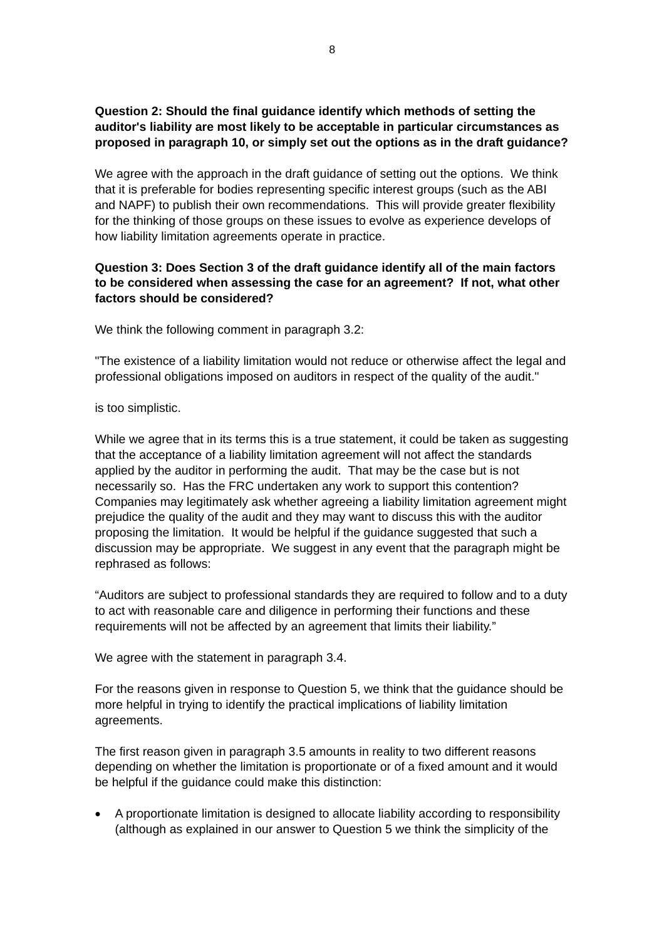# **Question 2: Should the final guidance identify which methods of setting the auditor's liability are most likely to be acceptable in particular circumstances as proposed in paragraph 10, or simply set out the options as in the draft guidance?**

We agree with the approach in the draft guidance of setting out the options. We think that it is preferable for bodies representing specific interest groups (such as the ABI and NAPF) to publish their own recommendations. This will provide greater flexibility for the thinking of those groups on these issues to evolve as experience develops of how liability limitation agreements operate in practice.

### **Question 3: Does Section 3 of the draft guidance identify all of the main factors to be considered when assessing the case for an agreement? If not, what other factors should be considered?**

We think the following comment in paragraph 3.2:

"The existence of a liability limitation would not reduce or otherwise affect the legal and professional obligations imposed on auditors in respect of the quality of the audit."

is too simplistic.

While we agree that in its terms this is a true statement, it could be taken as suggesting that the acceptance of a liability limitation agreement will not affect the standards applied by the auditor in performing the audit. That may be the case but is not necessarily so. Has the FRC undertaken any work to support this contention? Companies may legitimately ask whether agreeing a liability limitation agreement might prejudice the quality of the audit and they may want to discuss this with the auditor proposing the limitation. It would be helpful if the guidance suggested that such a discussion may be appropriate. We suggest in any event that the paragraph might be rephrased as follows:

"Auditors are subject to professional standards they are required to follow and to a duty to act with reasonable care and diligence in performing their functions and these requirements will not be affected by an agreement that limits their liability."

We agree with the statement in paragraph 3.4.

For the reasons given in response to Question 5, we think that the guidance should be more helpful in trying to identify the practical implications of liability limitation agreements.

The first reason given in paragraph 3.5 amounts in reality to two different reasons depending on whether the limitation is proportionate or of a fixed amount and it would be helpful if the guidance could make this distinction:

• A proportionate limitation is designed to allocate liability according to responsibility (although as explained in our answer to Question 5 we think the simplicity of the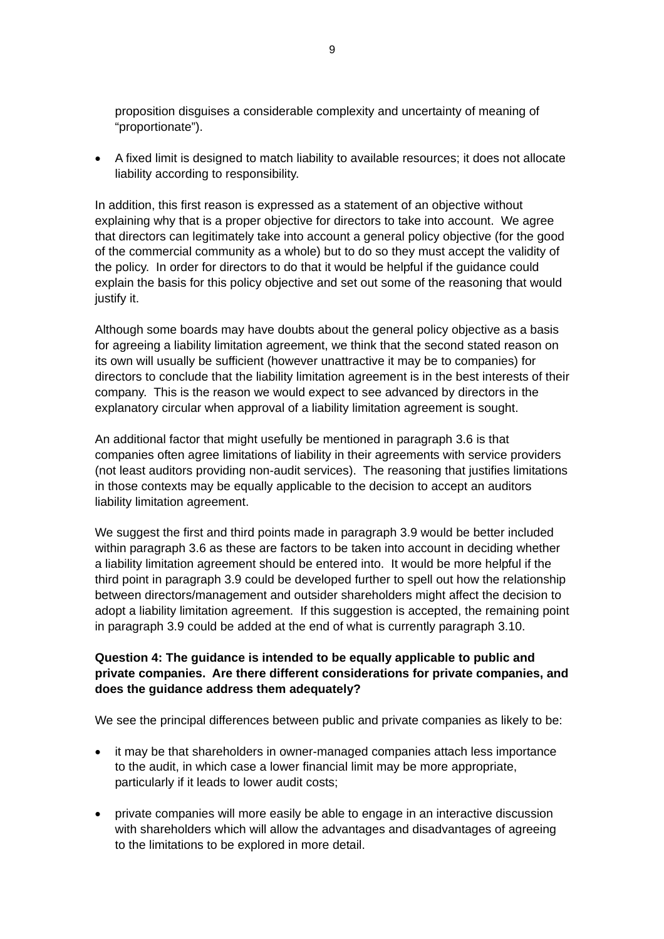proposition disguises a considerable complexity and uncertainty of meaning of "proportionate").

• A fixed limit is designed to match liability to available resources; it does not allocate liability according to responsibility.

In addition, this first reason is expressed as a statement of an objective without explaining why that is a proper objective for directors to take into account. We agree that directors can legitimately take into account a general policy objective (for the good of the commercial community as a whole) but to do so they must accept the validity of the policy. In order for directors to do that it would be helpful if the guidance could explain the basis for this policy objective and set out some of the reasoning that would justify it.

Although some boards may have doubts about the general policy objective as a basis for agreeing a liability limitation agreement, we think that the second stated reason on its own will usually be sufficient (however unattractive it may be to companies) for directors to conclude that the liability limitation agreement is in the best interests of their company. This is the reason we would expect to see advanced by directors in the explanatory circular when approval of a liability limitation agreement is sought.

An additional factor that might usefully be mentioned in paragraph 3.6 is that companies often agree limitations of liability in their agreements with service providers (not least auditors providing non-audit services). The reasoning that justifies limitations in those contexts may be equally applicable to the decision to accept an auditors liability limitation agreement.

We suggest the first and third points made in paragraph 3.9 would be better included within paragraph 3.6 as these are factors to be taken into account in deciding whether a liability limitation agreement should be entered into. It would be more helpful if the third point in paragraph 3.9 could be developed further to spell out how the relationship between directors/management and outsider shareholders might affect the decision to adopt a liability limitation agreement. If this suggestion is accepted, the remaining point in paragraph 3.9 could be added at the end of what is currently paragraph 3.10.

#### **Question 4: The guidance is intended to be equally applicable to public and private companies. Are there different considerations for private companies, and does the guidance address them adequately?**

We see the principal differences between public and private companies as likely to be:

- it may be that shareholders in owner-managed companies attach less importance to the audit, in which case a lower financial limit may be more appropriate, particularly if it leads to lower audit costs;
- private companies will more easily be able to engage in an interactive discussion with shareholders which will allow the advantages and disadvantages of agreeing to the limitations to be explored in more detail.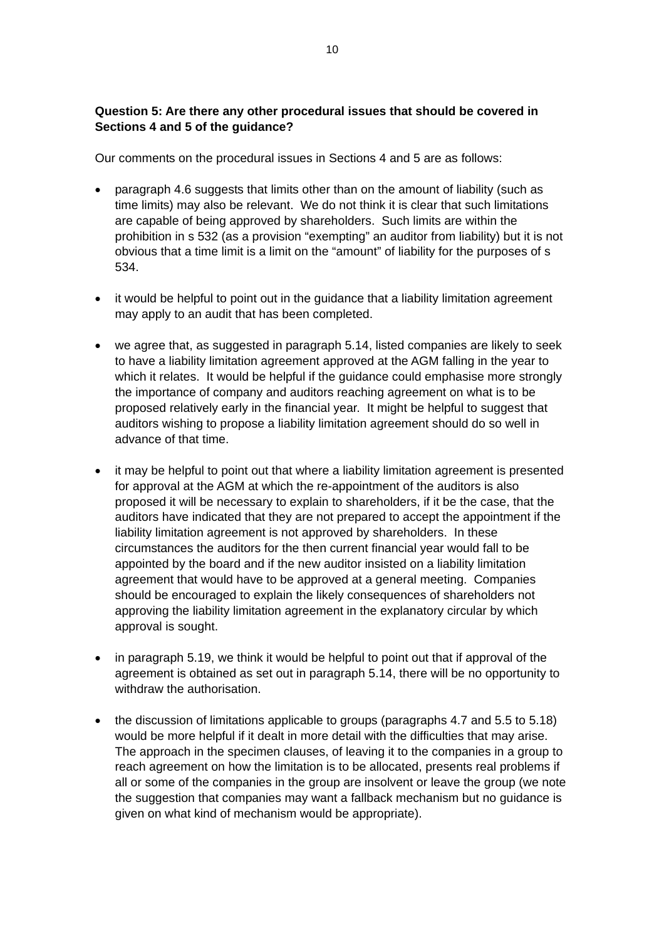# **Question 5: Are there any other procedural issues that should be covered in Sections 4 and 5 of the guidance?**

Our comments on the procedural issues in Sections 4 and 5 are as follows:

- paragraph 4.6 suggests that limits other than on the amount of liability (such as time limits) may also be relevant. We do not think it is clear that such limitations are capable of being approved by shareholders. Such limits are within the prohibition in s 532 (as a provision "exempting" an auditor from liability) but it is not obvious that a time limit is a limit on the "amount" of liability for the purposes of s 534.
- it would be helpful to point out in the guidance that a liability limitation agreement may apply to an audit that has been completed.
- we agree that, as suggested in paragraph 5.14, listed companies are likely to seek to have a liability limitation agreement approved at the AGM falling in the year to which it relates. It would be helpful if the guidance could emphasise more strongly the importance of company and auditors reaching agreement on what is to be proposed relatively early in the financial year. It might be helpful to suggest that auditors wishing to propose a liability limitation agreement should do so well in advance of that time.
- it may be helpful to point out that where a liability limitation agreement is presented for approval at the AGM at which the re-appointment of the auditors is also proposed it will be necessary to explain to shareholders, if it be the case, that the auditors have indicated that they are not prepared to accept the appointment if the liability limitation agreement is not approved by shareholders. In these circumstances the auditors for the then current financial year would fall to be appointed by the board and if the new auditor insisted on a liability limitation agreement that would have to be approved at a general meeting. Companies should be encouraged to explain the likely consequences of shareholders not approving the liability limitation agreement in the explanatory circular by which approval is sought.
- in paragraph 5.19, we think it would be helpful to point out that if approval of the agreement is obtained as set out in paragraph 5.14, there will be no opportunity to withdraw the authorisation.
- the discussion of limitations applicable to groups (paragraphs 4.7 and 5.5 to 5.18) would be more helpful if it dealt in more detail with the difficulties that may arise. The approach in the specimen clauses, of leaving it to the companies in a group to reach agreement on how the limitation is to be allocated, presents real problems if all or some of the companies in the group are insolvent or leave the group (we note the suggestion that companies may want a fallback mechanism but no guidance is given on what kind of mechanism would be appropriate).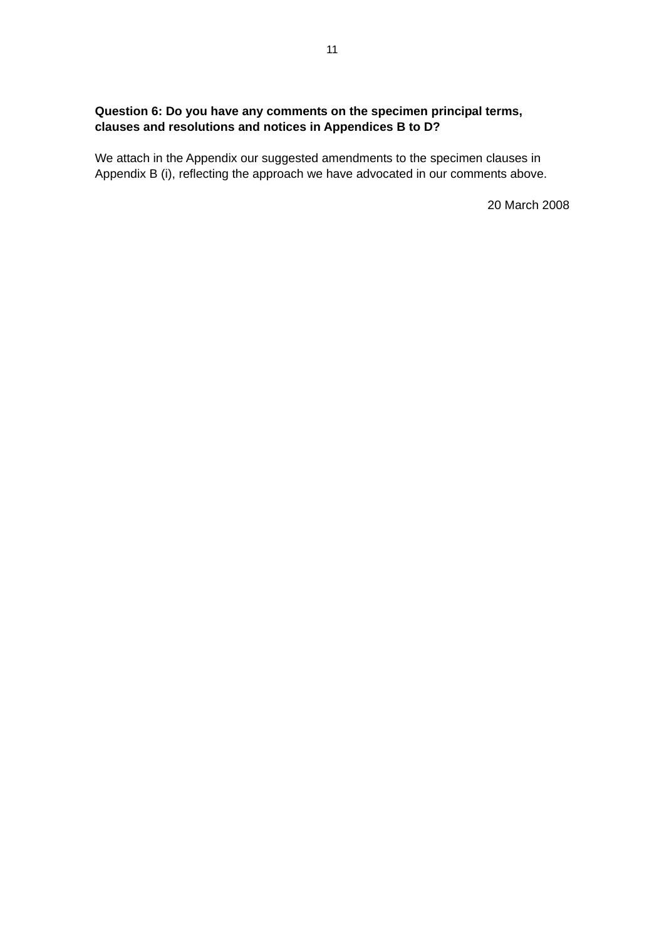# **Question 6: Do you have any comments on the specimen principal terms, clauses and resolutions and notices in Appendices B to D?**

We attach in the Appendix our suggested amendments to the specimen clauses in Appendix B (i), reflecting the approach we have advocated in our comments above.

20 March 2008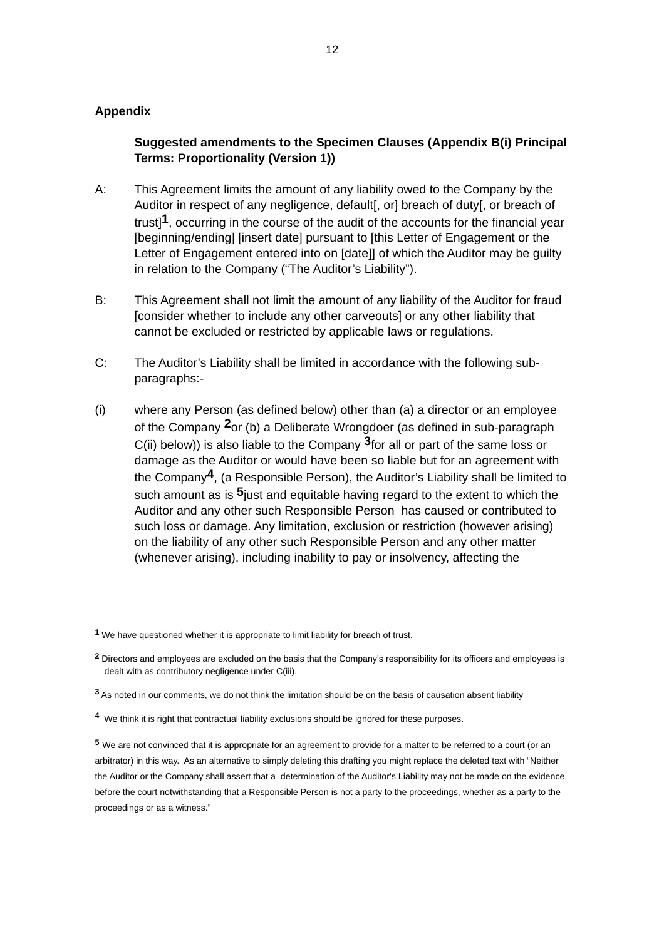#### **Appendix**

### **Suggested amendments to the Specimen Clauses (Appendix B(i) Principal Terms: Proportionality (Version 1))**

- A: This Agreement limits the amount of any liability owed to the Company by the Auditor in respect of any negligence, default[, or] breach of duty[, or breach of trust]**[1](#page-11-0)**, occurring in the course of the audit of the accounts for the financial year [beginning/ending] [insert date] pursuant to [this Letter of Engagement or the Letter of Engagement entered into on [date]] of which the Auditor may be guilty in relation to the Company ("The Auditor's Liability").
- B: This Agreement shall not limit the amount of any liability of the Auditor for fraud [consider whether to include any other carveouts] or any other liability that cannot be excluded or restricted by applicable laws or regulations.
- C: The Auditor's Liability shall be limited in accordance with the following subparagraphs:-
- (i) where any Person (as defined below) other than (a) a director or an employee of the Company **[2](#page-11-1)**or (b) a Deliberate Wrongdoer (as defined in sub-paragraph C(ii) below)) is also liable to the Company **[3](#page-11-2)**for all or part of the same loss or damage as the Auditor or would have been so liable but for an agreement with the Company**[4](#page-11-3)**, (a Responsible Person), the Auditor's Liability shall be limited to such amount as is **[5](#page-11-4)**just and equitable having regard to the extent to which the Auditor and any other such Responsible Person has caused or contributed to such loss or damage. Any limitation, exclusion or restriction (however arising) on the liability of any other such Responsible Person and any other matter (whenever arising), including inability to pay or insolvency, affecting the

<span id="page-11-3"></span>**<sup>4</sup>** We think it is right that contractual liability exclusions should be ignored for these purposes.

<span id="page-11-0"></span>**<sup>1</sup>** We have questioned whether it is appropriate to limit liability for breach of trust.

<span id="page-11-1"></span>**<sup>2</sup>** Directors and employees are excluded on the basis that the Company's responsibility for its officers and employees is dealt with as contributory negligence under C(iii).

<span id="page-11-2"></span>**<sup>3</sup>** As noted in our comments, we do not think the limitation should be on the basis of causation absent liability

<span id="page-11-4"></span>**<sup>5</sup>** We are not convinced that it is appropriate for an agreement to provide for a matter to be referred to a court (or an arbitrator) in this way. As an alternative to simply deleting this drafting you might replace the deleted text with "Neither the Auditor or the Company shall assert that a determination of the Auditor's Liability may not be made on the evidence before the court notwithstanding that a Responsible Person is not a party to the proceedings, whether as a party to the proceedings or as a witness."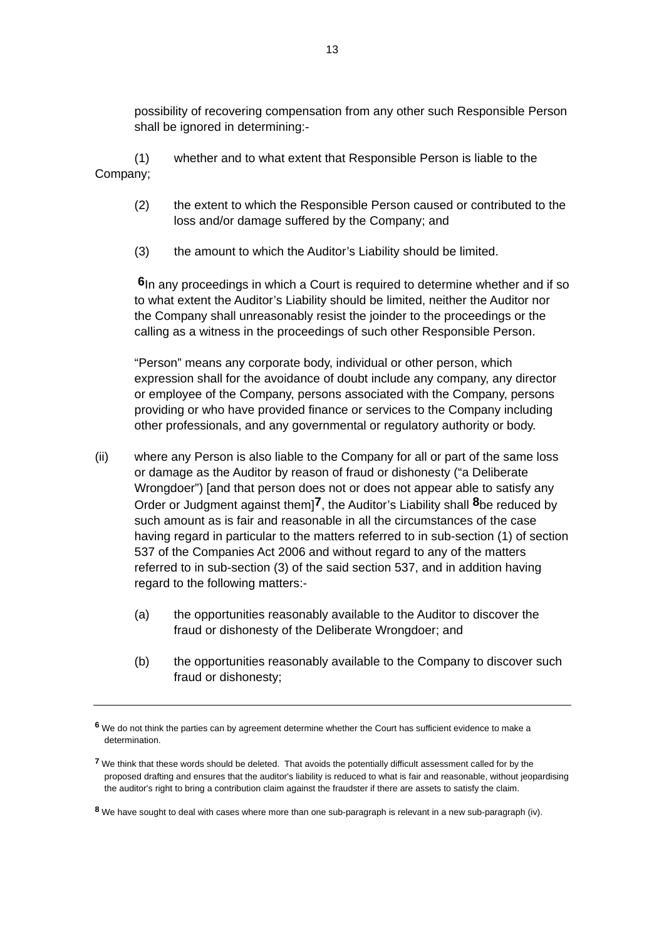possibility of recovering compensation from any other such Responsible Person shall be ignored in determining:-

 (1) whether and to what extent that Responsible Person is liable to the Company;

- (2) the extent to which the Responsible Person caused or contributed to the loss and/or damage suffered by the Company; and
- (3) the amount to which the Auditor's Liability should be limited.

**[6](#page-12-0)**In any proceedings in which a Court is required to determine whether and if so to what extent the Auditor's Liability should be limited, neither the Auditor nor the Company shall unreasonably resist the joinder to the proceedings or the calling as a witness in the proceedings of such other Responsible Person.

"Person" means any corporate body, individual or other person, which expression shall for the avoidance of doubt include any company, any director or employee of the Company, persons associated with the Company, persons providing or who have provided finance or services to the Company including other professionals, and any governmental or regulatory authority or body.

- (ii) where any Person is also liable to the Company for all or part of the same loss or damage as the Auditor by reason of fraud or dishonesty ("a Deliberate Wrongdoer") [and that person does not or does not appear able to satisfy any Order or Judgment against them]**[7](#page-12-1)**, the Auditor's Liability shall **[8](#page-12-2)**be reduced by such amount as is fair and reasonable in all the circumstances of the case having regard in particular to the matters referred to in sub-section (1) of section 537 of the Companies Act 2006 and without regard to any of the matters referred to in sub-section (3) of the said section 537, and in addition having regard to the following matters:-
	- (a) the opportunities reasonably available to the Auditor to discover the fraud or dishonesty of the Deliberate Wrongdoer; and
	- (b) the opportunities reasonably available to the Company to discover such fraud or dishonesty;

<span id="page-12-0"></span>**<sup>6</sup>** We do not think the parties can by agreement determine whether the Court has sufficient evidence to make a determination.

<span id="page-12-1"></span>**<sup>7</sup>** We think that these words should be deleted. That avoids the potentially difficult assessment called for by the proposed drafting and ensures that the auditor's liability is reduced to what is fair and reasonable, without jeopardising the auditor's right to bring a contribution claim against the fraudster if there are assets to satisfy the claim.

<span id="page-12-2"></span>**<sup>8</sup>** We have sought to deal with cases where more than one sub-paragraph is relevant in a new sub-paragraph (iv).